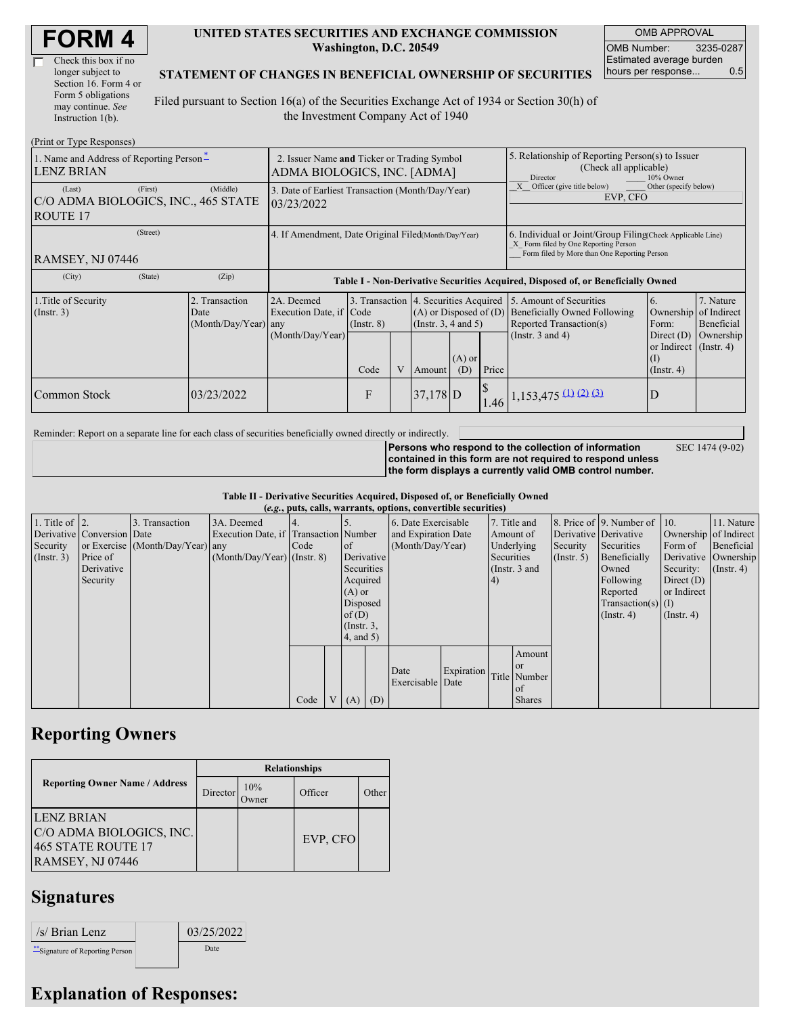| <b>FORM4</b> |  |
|--------------|--|
|--------------|--|

| Check this box if no  |
|-----------------------|
| longer subject to     |
| Section 16. Form 4 or |
| Form 5 obligations    |
| may continue. See     |
| Instruction 1(b).     |

#### **UNITED STATES SECURITIES AND EXCHANGE COMMISSION Washington, D.C. 20549**

OMB APPROVAL OMB Number: 3235-0287 Estimated average burden hours per response... 0.5

SEC 1474 (9-02)

### **STATEMENT OF CHANGES IN BENEFICIAL OWNERSHIP OF SECURITIES**

Filed pursuant to Section 16(a) of the Securities Exchange Act of 1934 or Section 30(h) of the Investment Company Act of 1940

| (Print or Type Responses)                                                   |                                                                            |                                                           |                                                                  |   |                                                                                  |                 |                                                                                                                                                    |                                                                                                             |                                                                                                     |                                                     |  |  |
|-----------------------------------------------------------------------------|----------------------------------------------------------------------------|-----------------------------------------------------------|------------------------------------------------------------------|---|----------------------------------------------------------------------------------|-----------------|----------------------------------------------------------------------------------------------------------------------------------------------------|-------------------------------------------------------------------------------------------------------------|-----------------------------------------------------------------------------------------------------|-----------------------------------------------------|--|--|
| 1. Name and Address of Reporting Person-<br><b>LENZ BRIAN</b>               | 2. Issuer Name and Ticker or Trading Symbol<br>ADMA BIOLOGICS, INC. [ADMA] |                                                           |                                                                  |   |                                                                                  |                 | 5. Relationship of Reporting Person(s) to Issuer<br>(Check all applicable)<br>Director<br>10% Owner                                                |                                                                                                             |                                                                                                     |                                                     |  |  |
| (First)<br>(Last)<br>C/O ADMA BIOLOGICS, INC., 465 STATE<br><b>ROUTE 17</b> | 3. Date of Earliest Transaction (Month/Day/Year)<br>03/23/2022             |                                                           |                                                                  |   |                                                                                  |                 | Officer (give title below)<br>Other (specify below)<br>EVP, CFO                                                                                    |                                                                                                             |                                                                                                     |                                                     |  |  |
| (Street)<br>RAMSEY, NJ 07446                                                | 4. If Amendment, Date Original Filed(Month/Day/Year)                       |                                                           |                                                                  |   |                                                                                  |                 | 6. Individual or Joint/Group Filing Check Applicable Line)<br>X Form filed by One Reporting Person<br>Form filed by More than One Reporting Person |                                                                                                             |                                                                                                     |                                                     |  |  |
| (City)<br>(State)<br>(Zip)                                                  |                                                                            |                                                           |                                                                  |   | Table I - Non-Derivative Securities Acquired, Disposed of, or Beneficially Owned |                 |                                                                                                                                                    |                                                                                                             |                                                                                                     |                                                     |  |  |
| 1. Title of Security<br>$($ Instr. 3 $)$                                    | 2. Transaction<br>Date<br>(Month/Day/Year) any                             | 2A. Deemed<br>Execution Date, if Code<br>(Month/Day/Year) | 3. Transaction 4. Securities Acquired<br>$($ Instr. $8)$<br>Code | V | $(A)$ or Disposed of $(D)$<br>(Insert. 3, 4 and 5)<br>Amount                     | $(A)$ or<br>(D) | Price                                                                                                                                              | 5. Amount of Securities<br>Beneficially Owned Following<br>Reported Transaction(s)<br>(Instr. $3$ and $4$ ) | 6.<br>Ownership<br>Form:<br>Direct $(D)$<br>or Indirect $($ Instr. 4 $)$<br>(I)<br>$($ Instr. 4 $)$ | 7. Nature<br>of Indirect<br>Beneficial<br>Ownership |  |  |
| Common Stock                                                                | 03/23/2022                                                                 |                                                           | F                                                                |   | $37,178$ D                                                                       |                 |                                                                                                                                                    | $1.46$ 1,153,475 (1) (2) (3)                                                                                | D                                                                                                   |                                                     |  |  |

Reminder: Report on a separate line for each class of securities beneficially owned directly or indirectly.

**Persons who respond to the collection of information contained in this form are not required to respond unless the form displays a currently valid OMB control number.**

**Table II - Derivative Securities Acquired, Disposed of, or Beneficially Owned**

|                        | (e.g., puts, calls, warrants, options, convertible securities) |                                  |                                       |      |  |                  |  |                     |            |            |               |             |                              |                  |                      |         |            |                     |  |  |  |  |           |                       |  |                       |  |
|------------------------|----------------------------------------------------------------|----------------------------------|---------------------------------------|------|--|------------------|--|---------------------|------------|------------|---------------|-------------|------------------------------|------------------|----------------------|---------|------------|---------------------|--|--|--|--|-----------|-----------------------|--|-----------------------|--|
| 1. Title of $\vert$ 2. |                                                                | 3. Transaction                   | 3A. Deemed                            |      |  |                  |  | 6. Date Exercisable |            |            | 7. Title and  |             | 8. Price of 9. Number of 10. |                  | 11. Nature           |         |            |                     |  |  |  |  |           |                       |  |                       |  |
|                        | Derivative Conversion Date                                     |                                  | Execution Date, if Transaction Number |      |  |                  |  |                     |            |            |               |             |                              |                  |                      |         |            | and Expiration Date |  |  |  |  | Amount of | Derivative Derivative |  | Ownership of Indirect |  |
| Security               |                                                                | or Exercise (Month/Day/Year) any |                                       | Code |  | <sub>of</sub>    |  | (Month/Day/Year)    |            |            |               |             | Underlying                   | Security         | Securities           | Form of | Beneficial |                     |  |  |  |  |           |                       |  |                       |  |
| $($ Instr. 3 $)$       | Price of                                                       |                                  | $(Month/Day/Year)$ (Instr. 8)         |      |  | Derivative       |  |                     |            | Securities |               | (Insert, 5) | Beneficially                 |                  | Derivative Ownership |         |            |                     |  |  |  |  |           |                       |  |                       |  |
|                        | Derivative                                                     |                                  |                                       |      |  | Securities       |  |                     |            |            | (Instr. 3 and |             | Owned                        | Security:        | $($ Instr. 4)        |         |            |                     |  |  |  |  |           |                       |  |                       |  |
|                        | Security                                                       |                                  |                                       |      |  | Acquired         |  |                     |            | (4)        |               |             | Following                    | Direct $(D)$     |                      |         |            |                     |  |  |  |  |           |                       |  |                       |  |
|                        |                                                                |                                  |                                       |      |  | $(A)$ or         |  |                     |            |            |               |             | Reported                     | or Indirect      |                      |         |            |                     |  |  |  |  |           |                       |  |                       |  |
|                        |                                                                |                                  |                                       |      |  | Disposed         |  |                     |            |            |               |             | $Transaction(s)$ (I)         |                  |                      |         |            |                     |  |  |  |  |           |                       |  |                       |  |
|                        |                                                                |                                  |                                       |      |  | of(D)            |  |                     |            |            |               |             | $($ Instr. 4 $)$             | $($ Instr. 4 $)$ |                      |         |            |                     |  |  |  |  |           |                       |  |                       |  |
|                        |                                                                |                                  |                                       |      |  | $($ Instr. $3$ , |  |                     |            |            |               |             |                              |                  |                      |         |            |                     |  |  |  |  |           |                       |  |                       |  |
|                        |                                                                |                                  |                                       |      |  | 4, and 5)        |  |                     |            |            |               |             |                              |                  |                      |         |            |                     |  |  |  |  |           |                       |  |                       |  |
|                        |                                                                |                                  |                                       |      |  |                  |  |                     |            |            | Amount        |             |                              |                  |                      |         |            |                     |  |  |  |  |           |                       |  |                       |  |
|                        |                                                                |                                  |                                       |      |  |                  |  |                     |            |            | <sub>or</sub> |             |                              |                  |                      |         |            |                     |  |  |  |  |           |                       |  |                       |  |
|                        |                                                                |                                  |                                       |      |  |                  |  | Date                | Expiration |            | Title Number  |             |                              |                  |                      |         |            |                     |  |  |  |  |           |                       |  |                       |  |
|                        |                                                                |                                  |                                       |      |  |                  |  | Exercisable Date    |            |            | of            |             |                              |                  |                      |         |            |                     |  |  |  |  |           |                       |  |                       |  |
|                        |                                                                |                                  |                                       | Code |  | $(A)$ $(D)$      |  |                     |            |            | <b>Shares</b> |             |                              |                  |                      |         |            |                     |  |  |  |  |           |                       |  |                       |  |

## **Reporting Owners**

|                                                                                   | <b>Relationships</b> |                     |          |       |  |  |  |  |
|-----------------------------------------------------------------------------------|----------------------|---------------------|----------|-------|--|--|--|--|
| <b>Reporting Owner Name / Address</b>                                             | Director             | 10%<br><b>Dwner</b> | Officer  | Other |  |  |  |  |
| ILENZ BRIAN<br>C/O ADMA BIOLOGICS, INC.<br>465 STATE ROUTE 17<br>RAMSEY, NJ 07446 |                      |                     | EVP, CFO |       |  |  |  |  |

# **Signatures**

| /s/ Brian Lenz                   | 03/25/2022 |
|----------------------------------|------------|
| ** Signature of Reporting Person | Date       |

## **Explanation of Responses:**